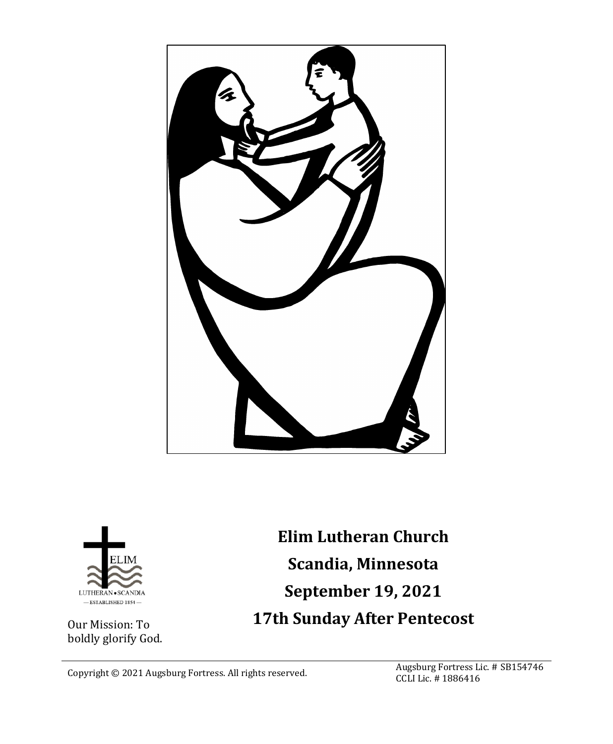



Our Mission: To boldly glorify God.

**Elim Lutheran Church Scandia, Minnesota September 19, 2021 17th Sunday After Pentecost**

Copyright © 2021 Augsburg Fortress. All rights reserved. Augsburg Fortress Lic. # SB154746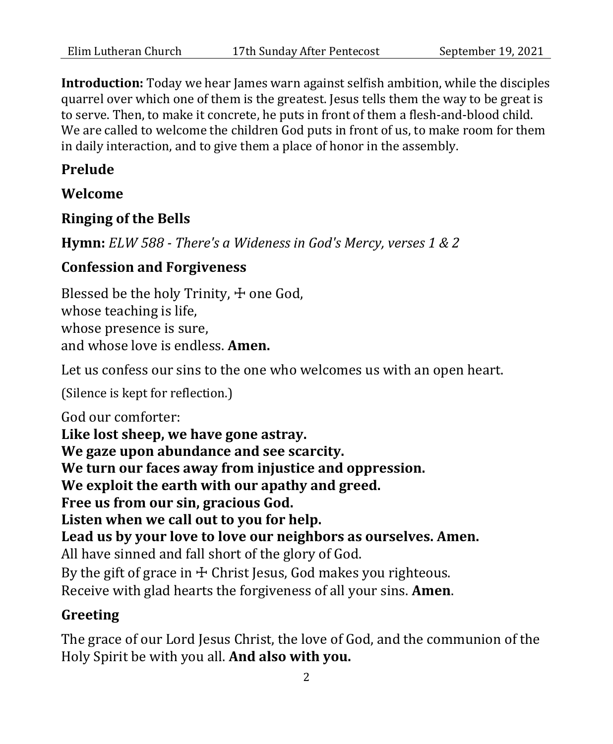**Introduction:** Today we hear James warn against selfish ambition, while the disciples quarrel over which one of them is the greatest. Jesus tells them the way to be great is to serve. Then, to make it concrete, he puts in front of them a flesh-and-blood child. We are called to welcome the children God puts in front of us, to make room for them in daily interaction, and to give them a place of honor in the assembly.

## **Prelude**

## **Welcome**

## **Ringing of the Bells**

**Hymn:** *ELW 588 - There's a Wideness in God's Mercy, verses 1 & 2*

## **Confession and Forgiveness**

Blessed be the holy Trinity,  $+$  one God, whose teaching is life, whose presence is sure, and whose love is endless. **Amen.**

Let us confess our sins to the one who welcomes us with an open heart.

(Silence is kept for reflection.)

God our comforter: **Like lost sheep, we have gone astray. We gaze upon abundance and see scarcity. We turn our faces away from injustice and oppression. We exploit the earth with our apathy and greed. Free us from our sin, gracious God. Listen when we call out to you for help. Lead us by your love to love our neighbors as ourselves. Amen.** All have sinned and fall short of the glory of God. By the gift of grace in  $\pm$  Christ Jesus, God makes you righteous. Receive with glad hearts the forgiveness of all your sins. **Amen**.

## **Greeting**

The grace of our Lord Jesus Christ, the love of God, and the communion of the Holy Spirit be with you all. **And also with you.**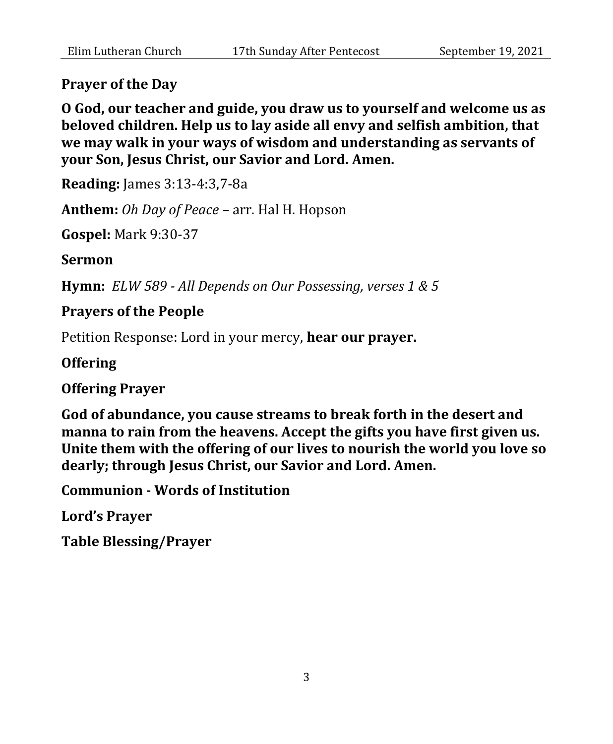#### **Prayer of the Day**

**O God, our teacher and guide, you draw us to yourself and welcome us as beloved children. Help us to lay aside all envy and selfish ambition, that we may walk in your ways of wisdom and understanding as servants of your Son, Jesus Christ, our Savior and Lord. Amen.**

**Reading:** James 3:13-4:3,7-8a

**Anthem:** *Oh Day of Peace* – arr. Hal H. Hopson

**Gospel:** Mark 9:30-37

**Sermon** 

**Hymn:** *ELW 589 - All Depends on Our Possessing, verses 1 & 5*

#### **Prayers of the People**

Petition Response: Lord in your mercy, **hear our prayer.**

#### **Offering**

**Offering Prayer**

**God of abundance, you cause streams to break forth in the desert and manna to rain from the heavens. Accept the gifts you have first given us. Unite them with the offering of our lives to nourish the world you love so dearly; through Jesus Christ, our Savior and Lord. Amen.**

**Communion - Words of Institution**

**Lord's Prayer**

**Table Blessing/Prayer**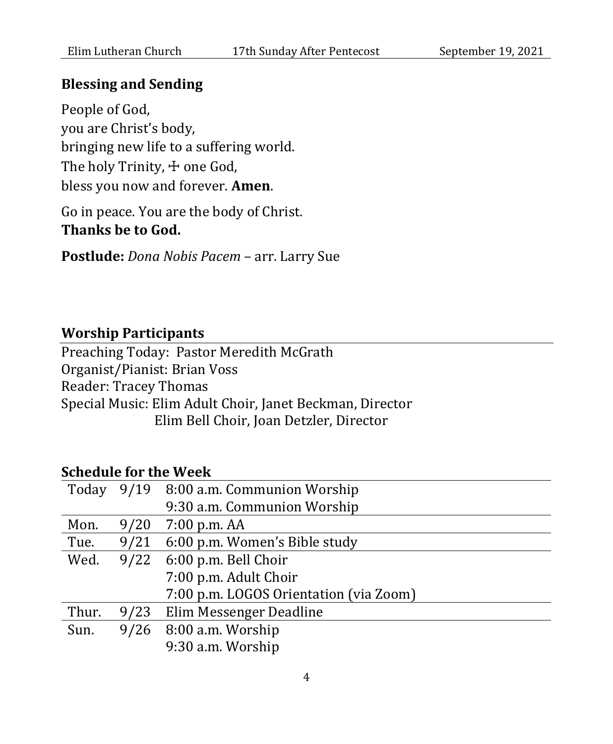#### **Blessing and Sending**

People of God, you are Christ's body, bringing new life to a suffering world. The holy Trinity,  $\pm$  one God, bless you now and forever. **Amen**.

Go in peace. You are the body of Christ. **Thanks be to God.**

**Postlude:** *Dona Nobis Pacem* – arr. Larry Sue

#### **Worship Participants**

Preaching Today: Pastor Meredith McGrath Organist/Pianist: Brian Voss Reader: Tracey Thomas Special Music: Elim Adult Choir, Janet Beckman, Director Elim Bell Choir, Joan Detzler, Director

## **Schedule for the Week**

| Today |      | 9/19 8:00 a.m. Communion Worship       |
|-------|------|----------------------------------------|
|       |      | 9:30 a.m. Communion Worship            |
| Mon.  | 9/20 | 7:00 p.m. AA                           |
| Tue.  | 9/21 | 6:00 p.m. Women's Bible study          |
| Wed.  | 9/22 | 6:00 p.m. Bell Choir                   |
|       |      | 7:00 p.m. Adult Choir                  |
|       |      | 7:00 p.m. LOGOS Orientation (via Zoom) |
| Thur. | 9/23 | Elim Messenger Deadline                |
| Sun.  |      | $9/26$ 8:00 a.m. Worship               |
|       |      | 9:30 a.m. Worship                      |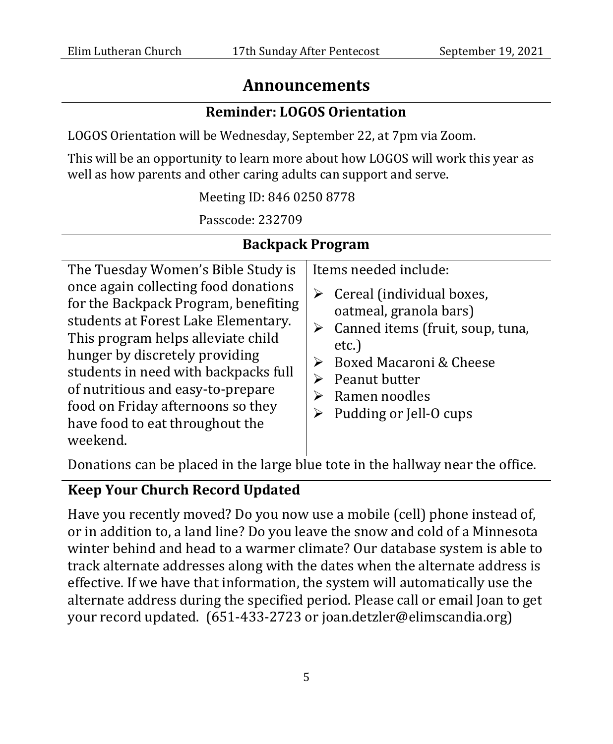## **Announcements**

#### **Reminder: LOGOS Orientation**

LOGOS Orientation will be Wednesday, September 22, at 7pm via Zoom.

This will be an opportunity to learn more about how LOGOS will work this year as well as how parents and other caring adults can support and serve.

Meeting ID: 846 0250 8778

Passcode: 232709

## **Backpack Program**

The Tuesday Women's Bible Study is once again collecting food donations for the Backpack Program, benefiting students at Forest Lake Elementary. This program helps alleviate child hunger by discretely providing students in need with backpacks full of nutritious and easy-to-prepare food on Friday afternoons so they have food to eat throughout the weekend. Items needed include:  $\triangleright$  Cereal (individual boxes, oatmeal, granola bars)  $\triangleright$  Canned items (fruit, soup, tuna, etc.)  $\triangleright$  Boxed Macaroni & Cheese  $\triangleright$  Peanut butter  $\triangleright$  Ramen noodles  $\triangleright$  Pudding or Jell-O cups

Donations can be placed in the large blue tote in the hallway near the office.

## **Keep Your Church Record Updated**

Have you recently moved? Do you now use a mobile (cell) phone instead of, or in addition to, a land line? Do you leave the snow and cold of a Minnesota winter behind and head to a warmer climate? Our database system is able to track alternate addresses along with the dates when the alternate address is effective. If we have that information, the system will automatically use the alternate address during the specified period. Please call or email Joan to get your record updated. (651-433-2723 or joan.detzler@elimscandia.org)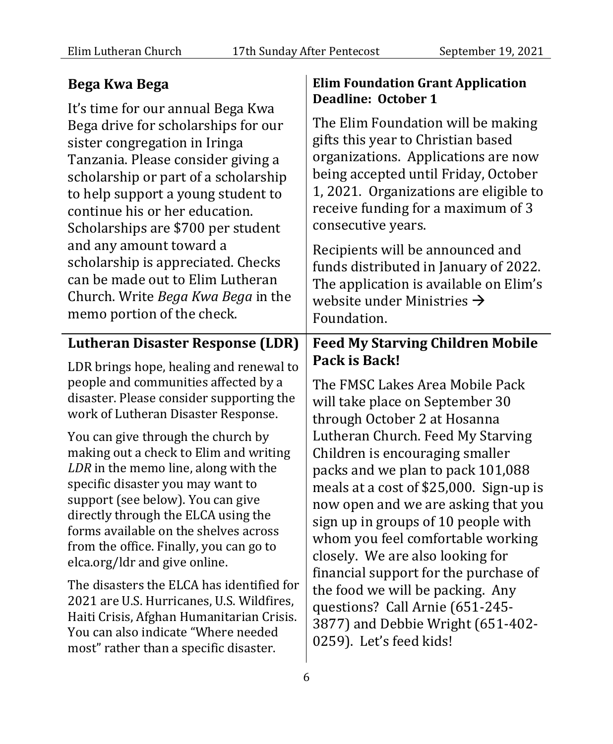**Elim Foundation Grant Application** 

## **Bega Kwa Bega**

It's time for our annual Bega Kwa Bega drive for scholarships for our sister congregation in Iringa Tanzania. Please consider giving a scholarship or part of a scholarship to help support a young student to continue his or her education. Scholarships are \$700 per student and any amount toward a scholarship is appreciated. Checks can be made out to Elim Lutheran Church. Write *Bega Kwa Bega* in the memo portion of the check. **Deadline: October 1** The Elim Foundation will be making gifts this year to Christian based organizations. Applications are now being accepted until Friday, October 1, 2021. Organizations are eligible to receive funding for a maximum of 3 consecutive years. Recipients will be announced and funds distributed in January of 2022. The application is available on Elim's website under Ministries  $\rightarrow$ Foundation. **Lutheran Disaster Response (LDR)** LDR brings hope, healing and renewal to people and communities affected by a disaster. Please consider supporting the work of Lutheran Disaster Response. You can give through the church by making out a check to Elim and writing *LDR* in the memo line, along with the specific disaster you may want to support (see below). You can give directly through the ELCA using the forms available on the shelves across from the office. Finally, you can go to elca.org/ldr and give online. The disasters the ELCA has identified for 2021 are U.S. Hurricanes, U.S. Wildfires, Haiti Crisis, Afghan Humanitarian Crisis. You can also indicate "Where needed most" rather than a specific disaster. **Feed My Starving Children Mobile Pack is Back!** The FMSC Lakes Area Mobile Pack will take place on September 30 through October 2 at Hosanna Lutheran Church. Feed My Starving Children is encouraging smaller packs and we plan to pack 101,088 meals at a cost of \$25,000. Sign-up is now open and we are asking that you sign up in groups of 10 people with whom you feel comfortable working closely. We are also looking for financial support for the purchase of the food we will be packing. Any questions? Call Arnie (651-245- 3877) and Debbie Wright (651-402- 0259). Let's feed kids!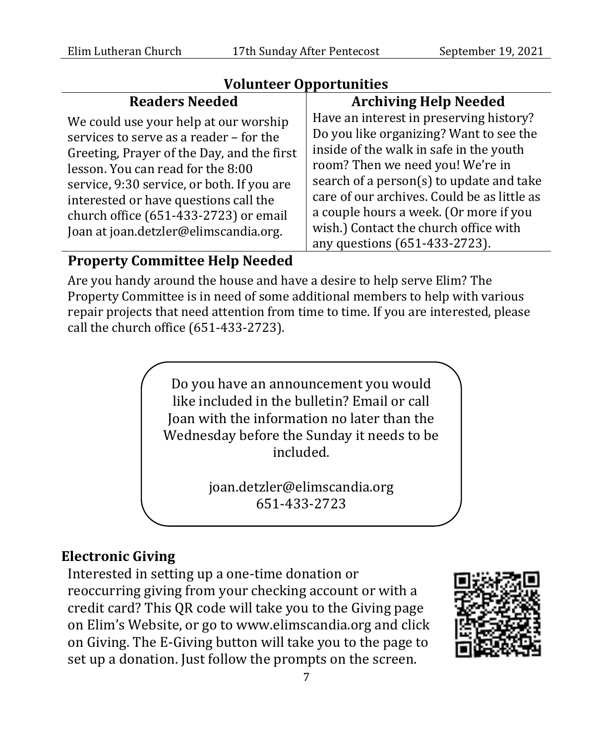#### **Volunteer Opportunities**

## **Readers Needed**

We could use your help at our worship services to serve as a reader – for the Greeting, Prayer of the Day, and the first lesson. You can read for the 8:00 service, 9:30 service, or both. If you are interested or have questions call the church office (651-433-2723) or email Joan at joan.detzler@elimscandia.org.

# **Archiving Help Needed**

Have an interest in preserving history? Do you like organizing? Want to see the inside of the walk in safe in the youth room? Then we need you! We're in search of a person(s) to update and take care of our archives. Could be as little as a couple hours a week. (Or more if you wish.) Contact the church office with any questions (651-433-2723).

## **Property Committee Help Needed**

Are you handy around the house and have a desire to help serve Elim? The Property Committee is in need of some additional members to help with various repair projects that need attention from time to time. If you are interested, please call the church office (651-433-2723).

> Do you have an announcement you would like included in the bulletin? Email or call Joan with the information no later than the Wednesday before the Sunday it needs to be included.

> > joan.detzler@elimscandia.org 651-433-2723

# **Electronic Giving**

Interested in setting up a one-time donation or reoccurring giving from your checking account or with a credit card? This QR code will take you to the Giving page on Elim's Website, or go to www.elimscandia.org and click on Giving. The E-Giving button will take you to the page to set up a donation. Just follow the prompts on the screen.